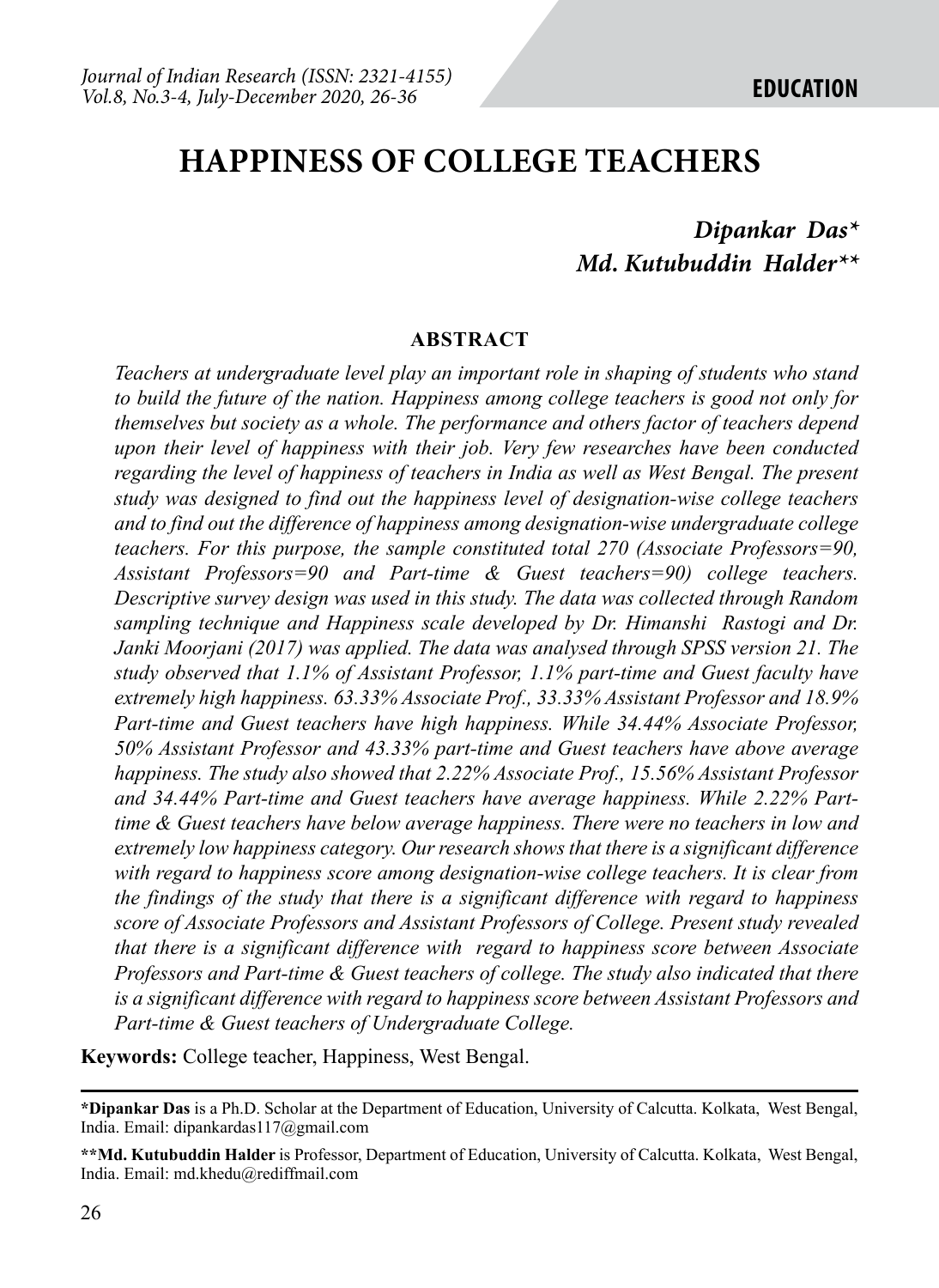# **HAPPINESS OF COLLEGE TEACHERS**

## *Dipankar Das\* Md. Kutubuddin Halder\*\**

#### **ABSTRACT**

*Teachers at undergraduate level play an important role in shaping of students who stand to build the future of the nation. Happiness among college teachers is good not only for themselves but society as a whole. The performance and others factor of teachers depend upon their level of happiness with their job. Very few researches have been conducted regarding the level of happiness of teachers in India as well as West Bengal. The present study was designed to find out the happiness level of designation-wise college teachers and to find out the difference of happiness among designation-wise undergraduate college teachers. For this purpose, the sample constituted total 270 (Associate Professors=90, Assistant Professors=90 and Part-time & Guest teachers=90) college teachers. Descriptive survey design was used in this study. The data was collected through Random sampling technique and Happiness scale developed by Dr. Himanshi Rastogi and Dr. Janki Moorjani (2017) was applied. The data was analysed through SPSS version 21. The study observed that 1.1% of Assistant Professor, 1.1% part-time and Guest faculty have extremely high happiness. 63.33% Associate Prof., 33.33% Assistant Professor and 18.9% Part-time and Guest teachers have high happiness. While 34.44% Associate Professor, 50% Assistant Professor and 43.33% part-time and Guest teachers have above average happiness. The study also showed that 2.22% Associate Prof., 15.56% Assistant Professor and 34.44% Part-time and Guest teachers have average happiness. While 2.22% Parttime & Guest teachers have below average happiness. There were no teachers in low and extremely low happiness category. Our research shows that there is a significant difference with regard to happiness score among designation-wise college teachers. It is clear from the findings of the study that there is a significant difference with regard to happiness score of Associate Professors and Assistant Professors of College. Present study revealed that there is a significant difference with regard to happiness score between Associate Professors and Part-time & Guest teachers of college. The study also indicated that there is a significant difference with regard to happiness score between Assistant Professors and Part-time & Guest teachers of Undergraduate College.* 

**Keywords:** College teacher, Happiness, West Bengal.

**<sup>\*</sup>Dipankar Das** is a Ph.D. Scholar at the Department of Education, University of Calcutta. Kolkata, West Bengal, India. Email: dipankardas117@gmail.com

**<sup>\*\*</sup>Md. Kutubuddin Halder** is Professor, Department of Education, University of Calcutta. Kolkata, West Bengal, India. Email: md.khedu@rediffmail.com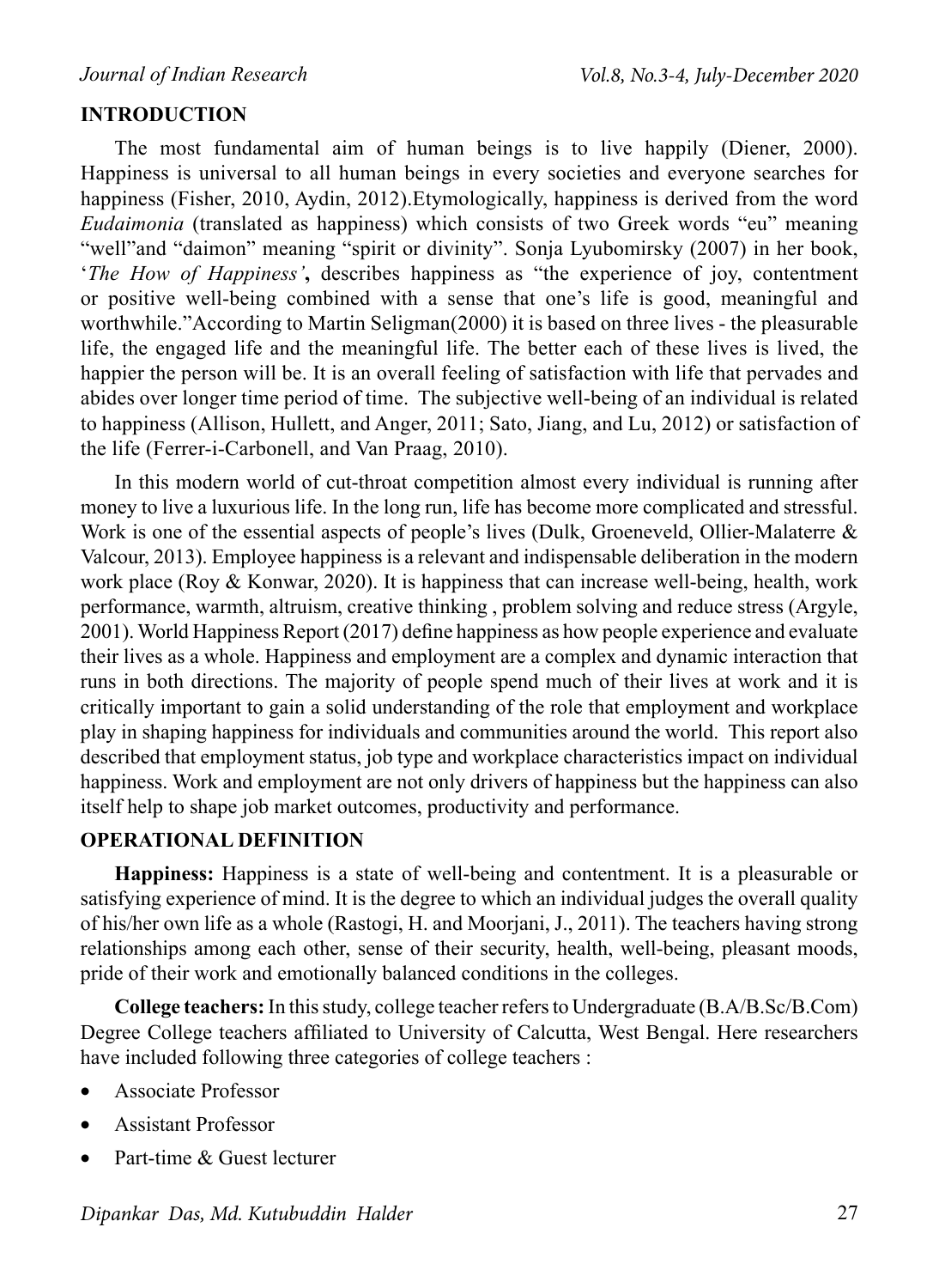#### **INTRODUCTION**

The most fundamental aim of human beings is to live happily (Diener, 2000). Happiness is universal to all human beings in every societies and everyone searches for happiness (Fisher, 2010, Aydin, 2012).Etymologically, happiness is derived from the word *Eudaimonia* (translated as happiness) which consists of two Greek words "eu" meaning "well"and "daimon" meaning "spirit or divinity". Sonja Lyubomirsky (2007) in her book, '*The How of Happiness'***,** describes happiness as "the experience of joy, contentment or positive well-being combined with a sense that one's life is good, meaningful and worthwhile."According to Martin Seligman(2000) it is based on three lives - the pleasurable life, the engaged life and the meaningful life. The better each of these lives is lived, the happier the person will be. It is an overall feeling of satisfaction with life that pervades and abides over longer time period of time. The subjective well-being of an individual is related to happiness (Allison, Hullett, and Anger, 2011; Sato, Jiang, and Lu, 2012) or satisfaction of the life (Ferrer-i-Carbonell, and Van Praag, 2010).

In this modern world of cut-throat competition almost every individual is running after money to live a luxurious life. In the long run, life has become more complicated and stressful. Work is one of the essential aspects of people's lives (Dulk, Groeneveld, Ollier-Malaterre & Valcour, 2013). Employee happiness is a relevant and indispensable deliberation in the modern work place (Roy & Konwar, 2020). It is happiness that can increase well-being, health, work performance, warmth, altruism, creative thinking , problem solving and reduce stress (Argyle, 2001).World Happiness Report (2017) define happiness as how people experience and evaluate their lives as a whole. Happiness and employment are a complex and dynamic interaction that runs in both directions. The majority of people spend much of their lives at work and it is critically important to gain a solid understanding of the role that employment and workplace play in shaping happiness for individuals and communities around the world. This report also described that employment status, job type and workplace characteristics impact on individual happiness. Work and employment are not only drivers of happiness but the happiness can also itself help to shape job market outcomes, productivity and performance.

#### **OPERATIONAL DEFINITION**

**Happiness:** Happiness is a state of well-being and contentment. It is a pleasurable or satisfying experience of mind. It is the degree to which an individual judges the overall quality of his/her own life as a whole (Rastogi, H. and Moorjani, J., 2011). The teachers having strong relationships among each other, sense of their security, health, well-being, pleasant moods, pride of their work and emotionally balanced conditions in the colleges.

**College teachers:** In this study, college teacher refers to Undergraduate (B.A/B.Sc/B.Com) Degree College teachers affiliated to University of Calcutta, West Bengal. Here researchers have included following three categories of college teachers :

- • Associate Professor
- • Assistant Professor
- Part-time & Guest lecturer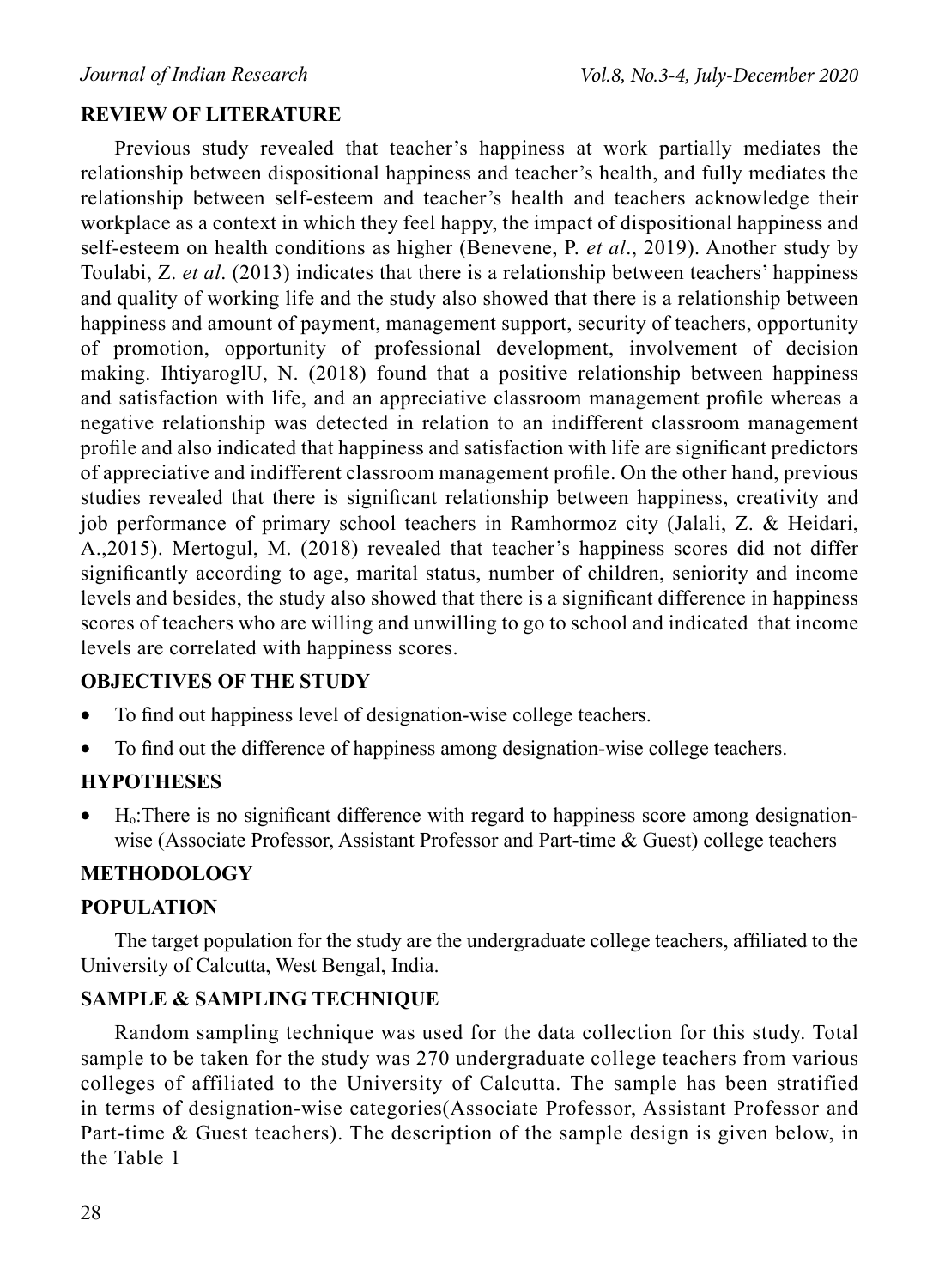### **REVIEW OF LITERATURE**

Previous study revealed that teacher's happiness at work partially mediates the relationship between dispositional happiness and teacher's health, and fully mediates the relationship between self-esteem and teacher's health and teachers acknowledge their workplace as a context in which they feel happy, the impact of dispositional happiness and self-esteem on health conditions as higher (Benevene, P. *et al*., 2019). Another study by Toulabi, Z. *et al*. (2013) indicates that there is a relationship between teachers' happiness and quality of working life and the study also showed that there is a relationship between happiness and amount of payment, management support, security of teachers, opportunity of promotion, opportunity of professional development, involvement of decision making. IhtiyaroglU, N. (2018) found that a positive relationship between happiness and satisfaction with life, and an appreciative classroom management profile whereas a negative relationship was detected in relation to an indifferent classroom management profile and also indicated that happiness and satisfaction with life are significant predictors of appreciative and indifferent classroom management profile. On the other hand, previous studies revealed that there is significant relationship between happiness, creativity and job performance of primary school teachers in Ramhormoz city (Jalali, Z. & Heidari, A.,2015). Mertogul, M. (2018) revealed that teacher's happiness scores did not differ significantly according to age, marital status, number of children, seniority and income levels and besides, the study also showed that there is a significant difference in happiness scores of teachers who are willing and unwilling to go to school and indicated that income levels are correlated with happiness scores.

### **OBJECTIVES OF THE STUDY**

- To find out happiness level of designation-wise college teachers.
- To find out the difference of happiness among designation-wise college teachers.

### **HYPOTHESES**

 $\bullet$  H<sub>0</sub>:There is no significant difference with regard to happiness score among designationwise (Associate Professor, Assistant Professor and Part-time & Guest) college teachers

### **METHODOLOGY**

### **POPULATION**

The target population for the study are the undergraduate college teachers, affiliated to the University of Calcutta, West Bengal, India.

### **SAMPLE & SAMPLING TECHNIQUE**

Random sampling technique was used for the data collection for this study. Total sample to be taken for the study was 270 undergraduate college teachers from various colleges of affiliated to the University of Calcutta. The sample has been stratified in terms of designation-wise categories(Associate Professor, Assistant Professor and Part-time & Guest teachers). The description of the sample design is given below, in the Table 1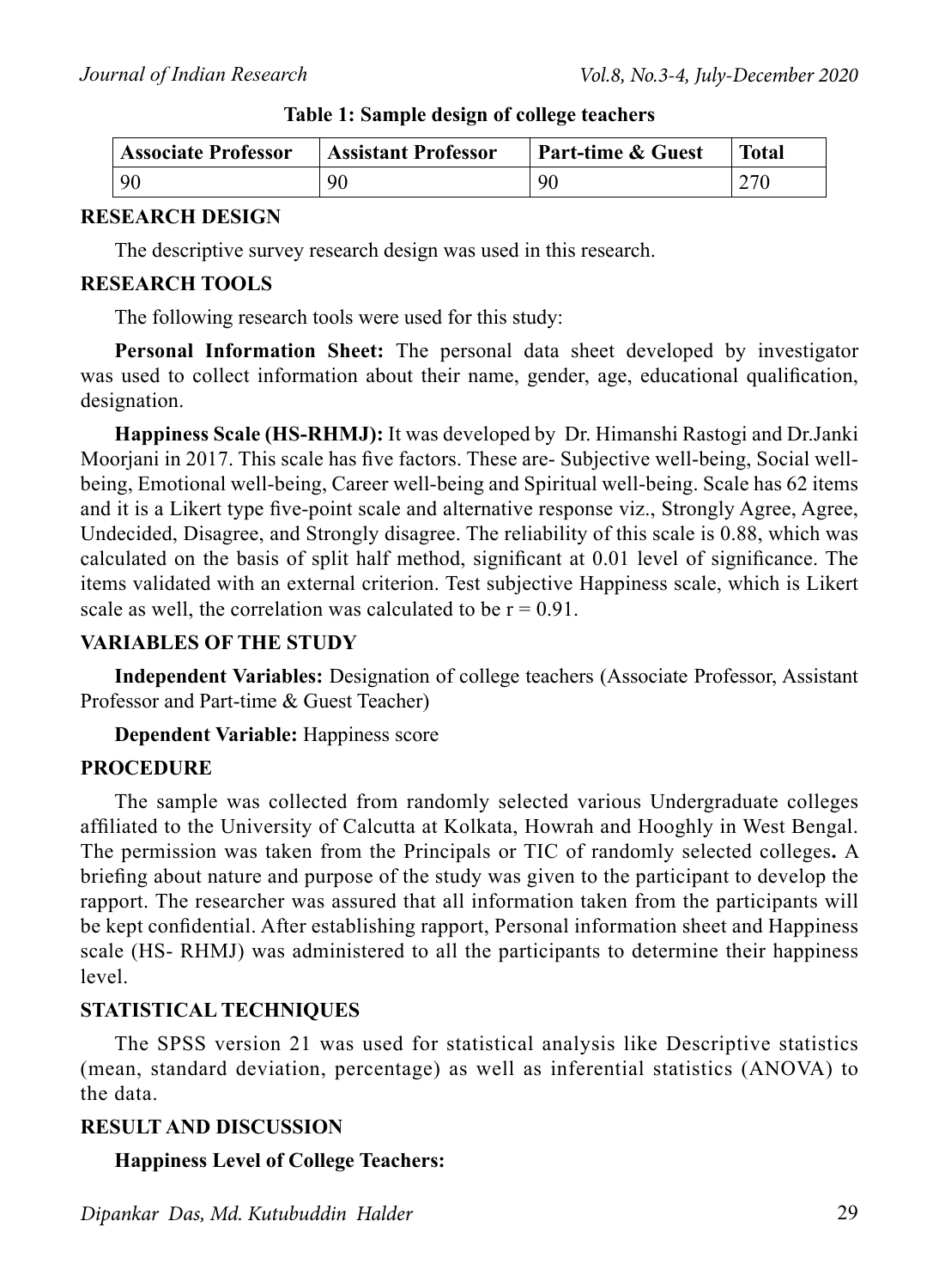| <b>Associate Professor</b> | <b>Assistant Professor</b> | <b>Part-time &amp; Guest</b> | <b>Total</b> |
|----------------------------|----------------------------|------------------------------|--------------|
| $\vert$ 90                 | 90                         | 90                           | 270          |

#### **Table 1: Sample design of college teachers**

#### **RESEARCH DESIGN**

The descriptive survey research design was used in this research.

#### **RESEARCH TOOLS**

The following research tools were used for this study:

**Personal Information Sheet:** The personal data sheet developed by investigator was used to collect information about their name, gender, age, educational qualification, designation.

**Happiness Scale (HS-RHMJ):** It was developed by Dr. Himanshi Rastogi and Dr.Janki Moorjani in 2017. This scale has five factors. These are- Subjective well-being, Social wellbeing, Emotional well-being, Career well-being and Spiritual well-being. Scale has 62 items and it is a Likert type five-point scale and alternative response viz., Strongly Agree, Agree, Undecided, Disagree, and Strongly disagree. The reliability of this scale is 0.88, which was calculated on the basis of split half method, significant at 0.01 level of significance. The items validated with an external criterion. Test subjective Happiness scale, which is Likert scale as well, the correlation was calculated to be  $r = 0.91$ .

#### **VARIABLES OF THE STUDY**

**Independent Variables:** Designation of college teachers (Associate Professor, Assistant Professor and Part-time & Guest Teacher)

**Dependent Variable:** Happiness score

### **PROCEDURE**

The sample was collected from randomly selected various Undergraduate colleges affiliated to the University of Calcutta at Kolkata, Howrah and Hooghly in West Bengal. The permission was taken from the Principals or TIC of randomly selected colleges**.** A briefing about nature and purpose of the study was given to the participant to develop the rapport. The researcher was assured that all information taken from the participants will be kept confidential. After establishing rapport, Personal information sheet and Happiness scale (HS- RHMJ) was administered to all the participants to determine their happiness level.

### **STATISTICAL TECHNIQUES**

The SPSS version 21 was used for statistical analysis like Descriptive statistics (mean, standard deviation, percentage) as well as inferential statistics (ANOVA) to the data.

#### **RESULT AND DISCUSSION**

**Happiness Level of College Teachers:**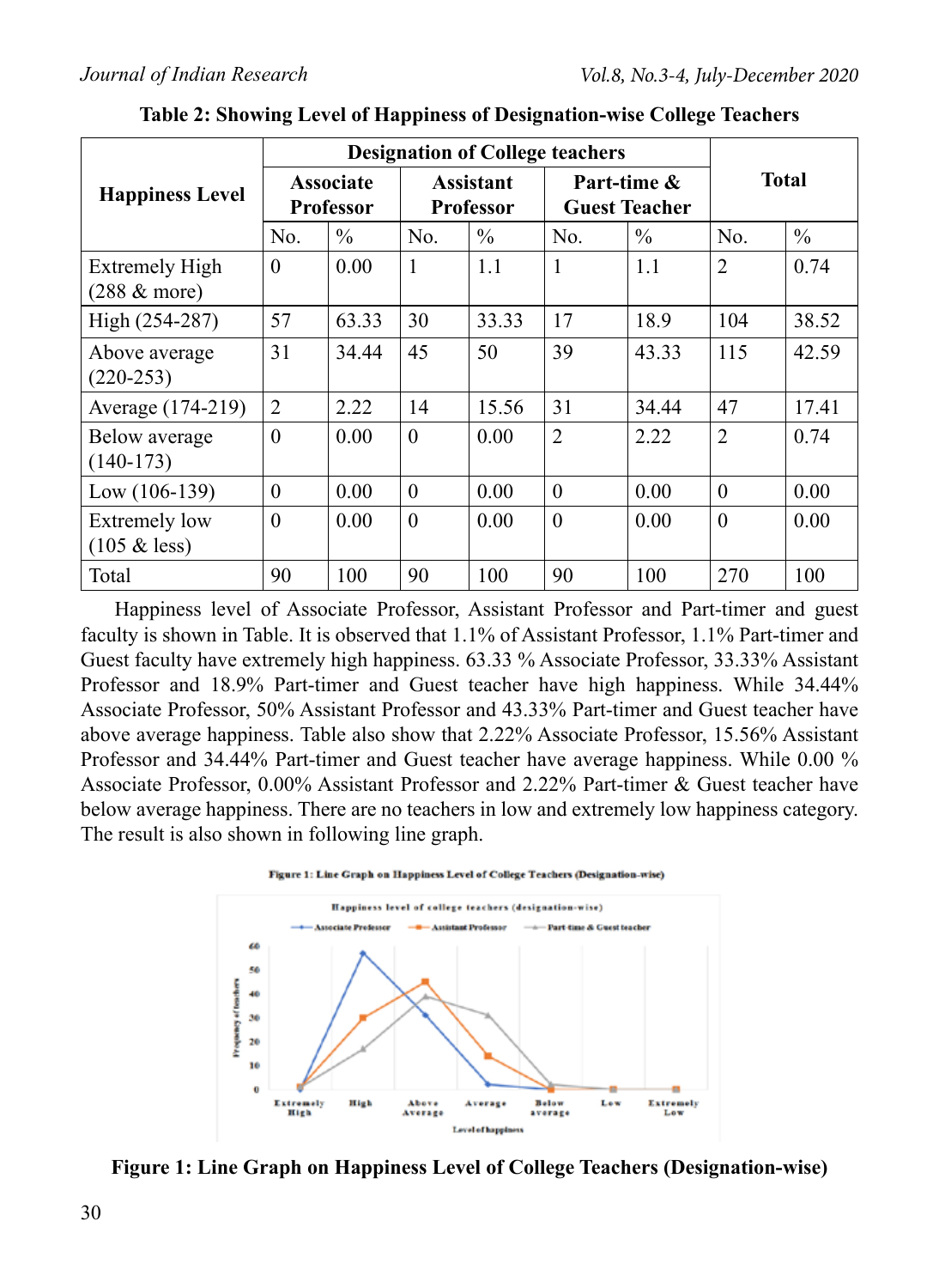|                                          |                                      | <b>Designation of College teachers</b> |                                      |               |                |                                     |                |               |
|------------------------------------------|--------------------------------------|----------------------------------------|--------------------------------------|---------------|----------------|-------------------------------------|----------------|---------------|
| <b>Happiness Level</b>                   | <b>Associate</b><br><b>Professor</b> |                                        | <b>Assistant</b><br><b>Professor</b> |               |                | Part-time &<br><b>Guest Teacher</b> | <b>Total</b>   |               |
|                                          | No.                                  | $\%$                                   | No.                                  | $\frac{0}{0}$ | N <sub>0</sub> | $\%$                                | No.            | $\frac{0}{0}$ |
| <b>Extremely High</b><br>$(288 \&$ more) | $\Omega$                             | 0.00                                   | 1                                    | 1.1           | 1              | 1.1                                 | $\overline{2}$ | 0.74          |
| High (254-287)                           | 57                                   | 63.33                                  | 30                                   | 33.33         | 17             | 18.9                                | 104            | 38.52         |
| Above average<br>$(220-253)$             | 31                                   | 34.44                                  | 45                                   | 50            | 39             | 43.33                               | 115            | 42.59         |
| Average (174-219)                        | $\overline{2}$                       | 2.22                                   | 14                                   | 15.56         | 31             | 34.44                               | 47             | 17.41         |
| Below average<br>$(140-173)$             | $\theta$                             | 0.00                                   | $\theta$                             | 0.00          | $\overline{2}$ | 2.22                                | $\overline{2}$ | 0.74          |
| Low $(106-139)$                          | $\Omega$                             | 0.00                                   | $\theta$                             | 0.00          | $\theta$       | 0.00                                | $\Omega$       | 0.00          |
| <b>Extremely low</b><br>$(105 \&$ less)  | $\theta$                             | 0.00                                   | $\theta$                             | 0.00          | $\theta$       | 0.00                                | $\overline{0}$ | 0.00          |
| Total                                    | 90                                   | 100                                    | 90                                   | 100           | 90             | 100                                 | 270            | 100           |

**Table 2: Showing Level of Happiness of Designation-wise College Teachers**

Happiness level of Associate Professor, Assistant Professor and Part-timer and guest faculty is shown in Table. It is observed that 1.1% of Assistant Professor, 1.1% Part-timer and Guest faculty have extremely high happiness. 63.33 % Associate Professor, 33.33% Assistant Professor and 18.9% Part-timer and Guest teacher have high happiness. While 34.44% Associate Professor, 50% Assistant Professor and 43.33% Part-timer and Guest teacher have above average happiness. Table also show that 2.22% Associate Professor, 15.56% Assistant Professor and 34.44% Part-timer and Guest teacher have average happiness. While 0.00 % Associate Professor, 0.00% Assistant Professor and 2.22% Part-timer & Guest teacher have below average happiness. There are no teachers in low and extremely low happiness category. The result is also shown in following line graph.





**Figure 1: Line Graph on Happiness Level of College Teachers (Designation-wise)**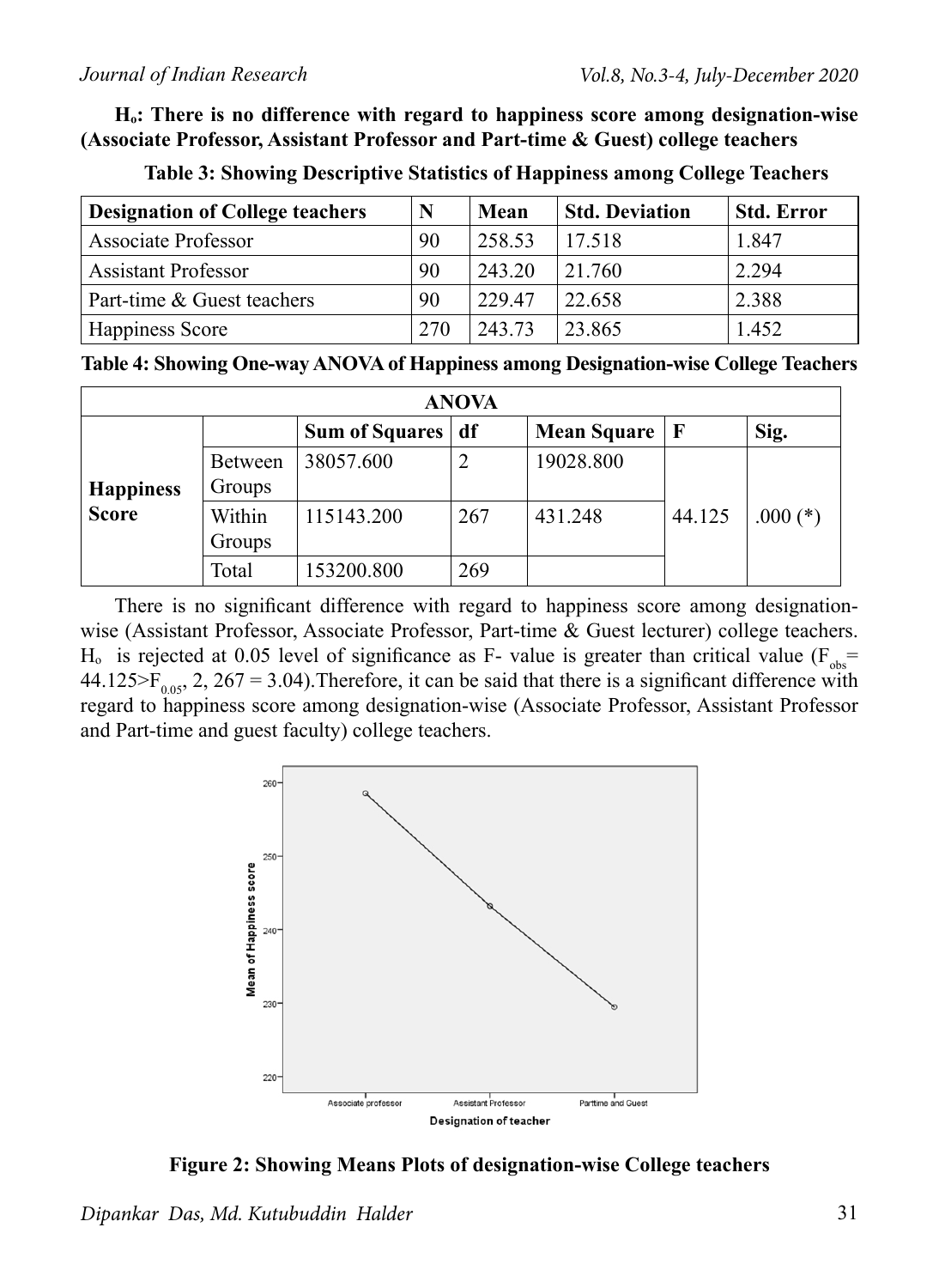**Hₒ: There is no difference with regard to happiness score among designation-wise (Associate Professor, Assistant Professor and Part-time & Guest) college teachers**

| <b>Designation of College teachers</b> | N   | Mean   | <b>Std. Deviation</b> | <b>Std. Error</b> |
|----------------------------------------|-----|--------|-----------------------|-------------------|
| <b>Associate Professor</b>             | 90  | 258.53 | 17.518                | 1.847             |
| <b>Assistant Professor</b>             | 90  | 243 20 | 21 760                | 2.294             |
| Part-time & Guest teachers             | 90  | 229 47 | 22.658                | 2.388             |
| Happiness Score                        | 270 | 243 73 | 23.865                | 1.452             |

**Table 3: Showing Descriptive Statistics of Happiness among College Teachers**

**Table 4: Showing One-way ANOVA of Happiness among Designation-wise College Teachers**

| <b>ANOVA</b>     |         |                       |                |             |             |            |  |  |  |  |  |
|------------------|---------|-----------------------|----------------|-------------|-------------|------------|--|--|--|--|--|
|                  |         | <b>Sum of Squares</b> | df             | Mean Square | $\mathbf F$ | Sig.       |  |  |  |  |  |
|                  | Between | 38057.600             | $\overline{2}$ | 19028.800   |             |            |  |  |  |  |  |
| <b>Happiness</b> | Groups  |                       |                |             |             |            |  |  |  |  |  |
| <b>Score</b>     | Within  | 115143.200            | 267            | 431.248     | 44.125      | $.000$ (*) |  |  |  |  |  |
|                  | Groups  |                       |                |             |             |            |  |  |  |  |  |
|                  | Total   | 153200.800            | 269            |             |             |            |  |  |  |  |  |

There is no significant difference with regard to happiness score among designationwise (Assistant Professor, Associate Professor, Part-time & Guest lecturer) college teachers. H<sub>o</sub> is rejected at 0.05 level of significance as F- value is greater than critical value ( $F_{obs}$ = 44.125>F<sub>0.05</sub>, 2, 267 = 3.04). Therefore, it can be said that there is a significant difference with regard to happiness score among designation-wise (Associate Professor, Assistant Professor and Part-time and guest faculty) college teachers.



**Figure 2: Showing Means Plots of designation-wise College teachers**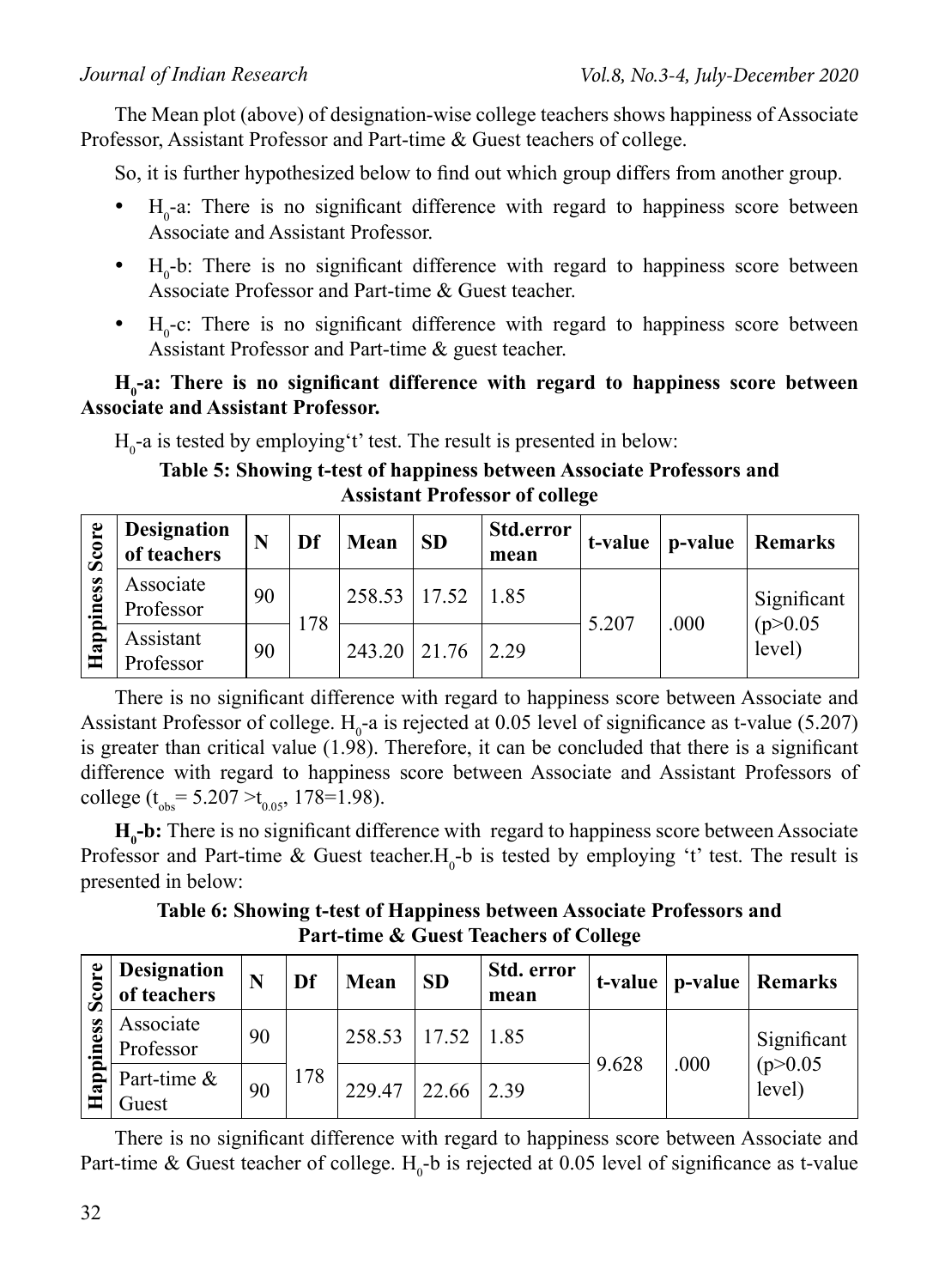The Mean plot (above) of designation-wise college teachers shows happiness of Associate Professor, Assistant Professor and Part-time & Guest teachers of college.

So, it is further hypothesized below to find out which group differs from another group.

- $H_0$ -a: There is no significant difference with regard to happiness score between Associate and Assistant Professor.
- $H_0$ -b: There is no significant difference with regard to happiness score between Associate Professor and Part-time & Guest teacher.
- $H_0$ -c: There is no significant difference with regard to happiness score between Assistant Professor and Part-time & guest teacher.

### H<sub>0</sub>-a: There is no significant difference with regard to happiness score between **Associate and Assistant Professor.**

 $H<sub>0</sub>$ -a is tested by employing't' test. The result is presented in below:

### **Table 5: Showing t-test of happiness between Associate Professors and Assistant Professor of college**

| Score     | Designation<br>of teachers |    | Df  | Mean           | <b>SD</b> | <b>Std.error</b><br>mean | t-value | p-value | Remarks            |
|-----------|----------------------------|----|-----|----------------|-----------|--------------------------|---------|---------|--------------------|
|           | Associate<br>Professor     | 90 |     | 258.53   17.52 |           | 1.85                     |         |         | Significant        |
| Happiness | Assistant<br>Professor     | 90 | 178 | 243.20         | 21.76     | 2 2 9                    | 5.207   | .000    | (p>0.05)<br>level) |

There is no significant difference with regard to happiness score between Associate and Assistant Professor of college.  $H_0$ -a is rejected at 0.05 level of significance as t-value (5.207) is greater than critical value (1.98). Therefore, it can be concluded that there is a significant difference with regard to happiness score between Associate and Assistant Professors of college ( $t_{obs}$ = 5.207 > $t_{0.05}$ , 178=1.98).

**H<sub>0</sub>-b:** There is no significant difference with regard to happiness score between Associate Professor and Part-time & Guest teacher. $H_0$ -b is tested by employing 't' test. The result is presented in below:

**Table 6: Showing t-test of Happiness between Associate Professors and Part-time & Guest Teachers of College**

| re<br>Sco   | <b>Designation</b><br>of teachers | N  | Df  | Mean   | <b>SD</b>    | Std. error<br>mean |       |      | t-value   p-value   Remarks |
|-------------|-----------------------------------|----|-----|--------|--------------|--------------------|-------|------|-----------------------------|
| iness       | Associate<br>Professor            | 90 |     | 258.53 | $17.52$ 1.85 |                    | 9.628 |      | Significant                 |
| ௨<br>Ξ<br>S | Part-time &<br>Guest              | 90 | 178 | 229 47 | 22.66        | 239                |       | .000 | (p>0.05)<br>level)          |

There is no significant difference with regard to happiness score between Associate and Part-time & Guest teacher of college.  $H_0$ -b is rejected at 0.05 level of significance as t-value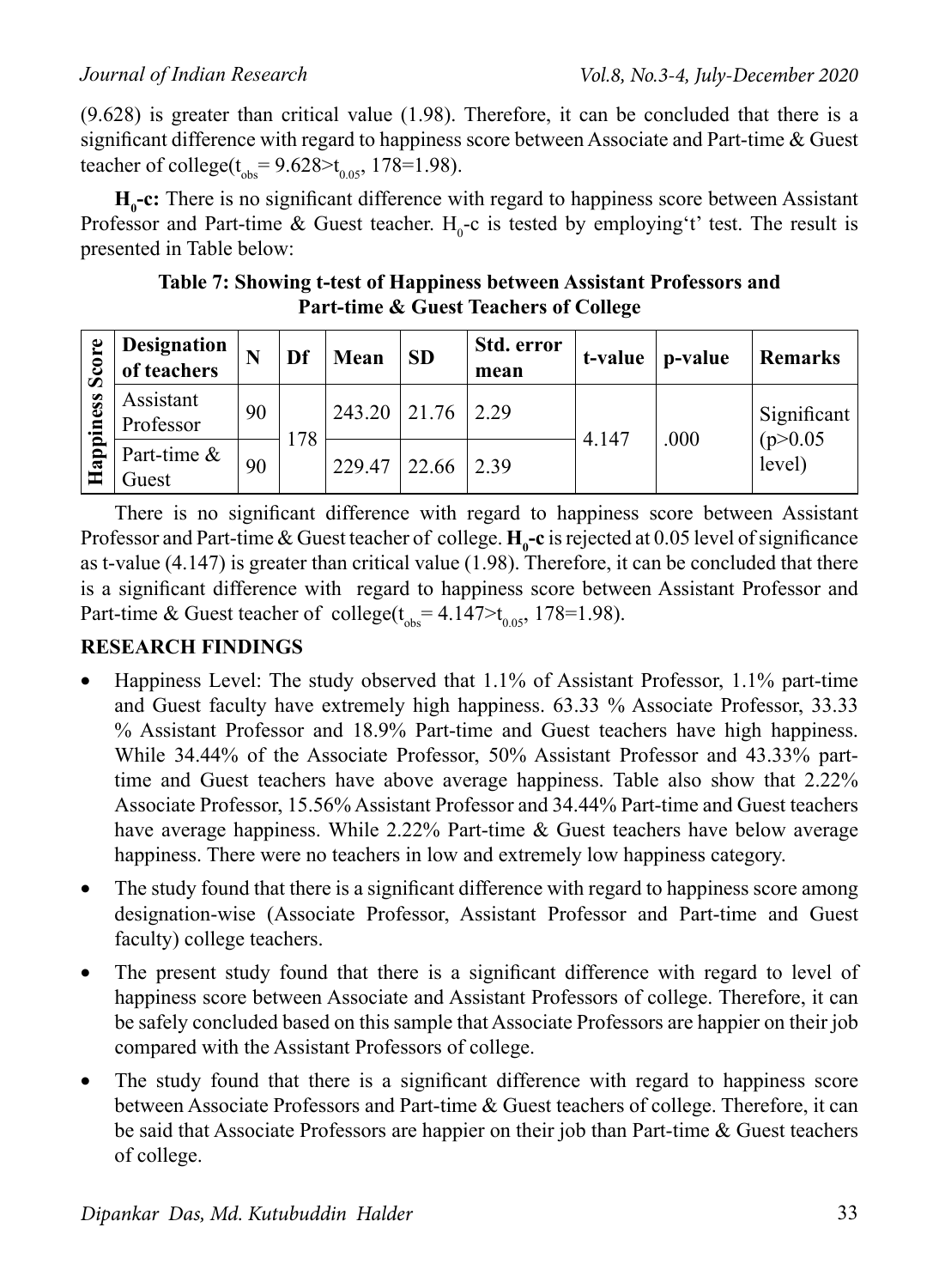(9.628) is greater than critical value (1.98). Therefore, it can be concluded that there is a significant difference with regard to happiness score between Associate and Part-time  $\&$  Guest teacher of college( $t_{obs} = 9.628 > t_{0.05}$ , 178=1.98).

**H<sub>0</sub>-c:** There is no significant difference with regard to happiness score between Assistant Professor and Part-time & Guest teacher.  $H_0$ -c is tested by employing t' test. The result is presented in Table below:

**Table 7: Showing t-test of Happiness between Assistant Professors and Part-time & Guest Teachers of College**

| Score     | <b>Designation</b><br>of teachers | N  | Df  | Mean   | <b>SD</b> | Std. error<br>mean | t-value | p-value | <b>Remarks</b>     |
|-----------|-----------------------------------|----|-----|--------|-----------|--------------------|---------|---------|--------------------|
|           | Assistant<br>Professor            | 90 |     | 243.20 | 21.76     | 2 2 9              |         |         | Significant        |
| Happiness | Part-time &<br>Guest              | 90 | 178 | 229.47 | 22.66     | 2.39               | 4.147   | .000    | (p>0.05)<br>level) |

There is no significant difference with regard to happiness score between Assistant Professor and Part-time  $\&$  Guest teacher of college.  $H_0$ -c is rejected at 0.05 level of significance as t-value (4.147) is greater than critical value (1.98). Therefore, it can be concluded that there is a significant difference with regard to happiness score between Assistant Professor and Part-time & Guest teacher of college( $t_{obs} = 4.147 > t_{0.05}$ , 178=1.98).

### **RESEARCH FINDINGS**

- Happiness Level: The study observed that  $1.1\%$  of Assistant Professor,  $1.1\%$  part-time and Guest faculty have extremely high happiness. 63.33 % Associate Professor, 33.33 % Assistant Professor and 18.9% Part-time and Guest teachers have high happiness. While 34.44% of the Associate Professor, 50% Assistant Professor and 43.33% parttime and Guest teachers have above average happiness. Table also show that 2.22% Associate Professor, 15.56% Assistant Professor and 34.44% Part-time and Guest teachers have average happiness. While 2.22% Part-time & Guest teachers have below average happiness. There were no teachers in low and extremely low happiness category.
- The study found that there is a significant difference with regard to happiness score among designation-wise (Associate Professor, Assistant Professor and Part-time and Guest faculty) college teachers.
- The present study found that there is a significant difference with regard to level of happiness score between Associate and Assistant Professors of college. Therefore, it can be safely concluded based on this sample that Associate Professors are happier on their job compared with the Assistant Professors of college.
- The study found that there is a significant difference with regard to happiness score between Associate Professors and Part-time & Guest teachers of college. Therefore, it can be said that Associate Professors are happier on their job than Part-time & Guest teachers of college.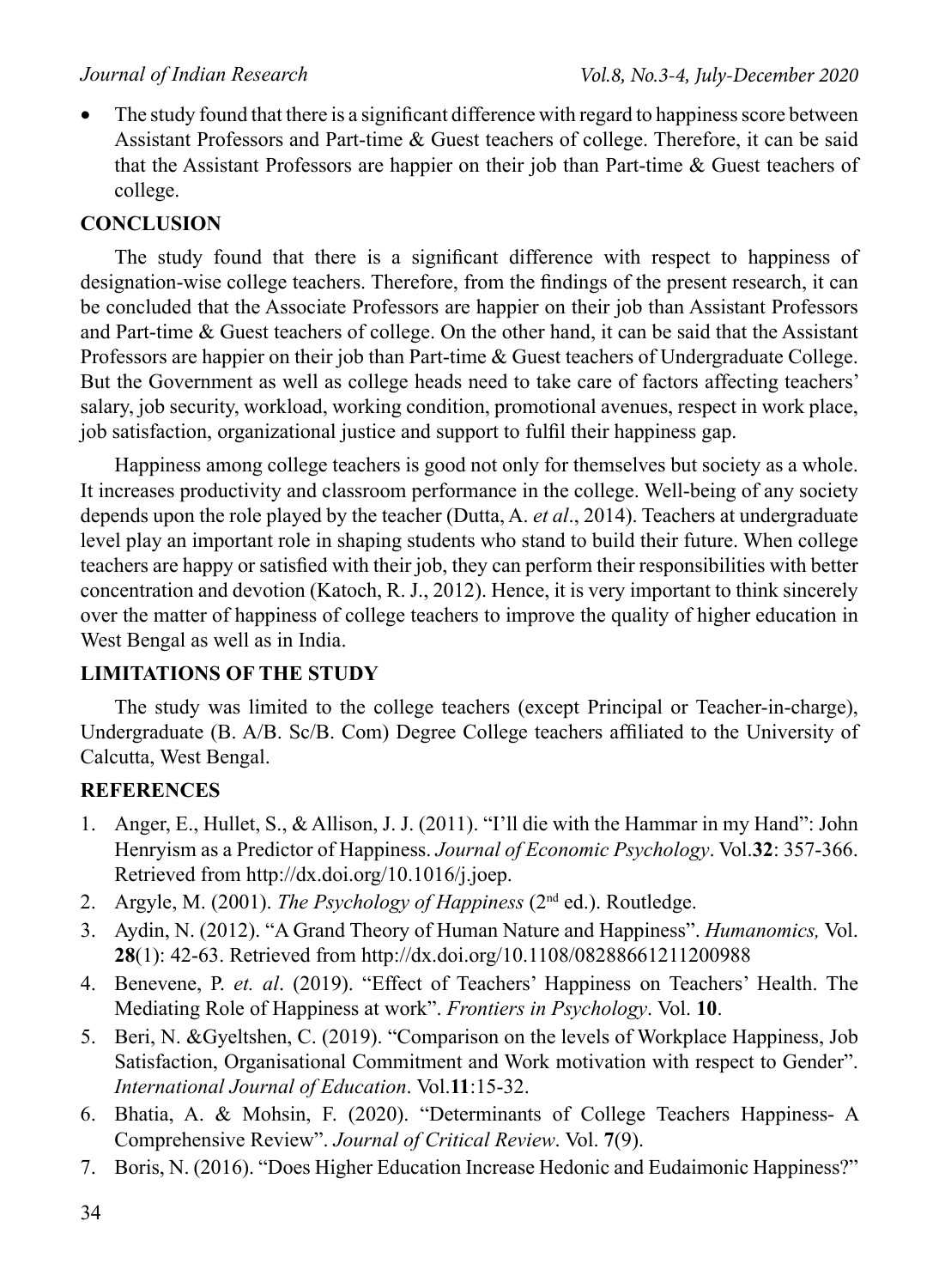• The study found that there is a significant difference with regard to happiness score between Assistant Professors and Part-time & Guest teachers of college. Therefore, it can be said that the Assistant Professors are happier on their job than Part-time & Guest teachers of college.

### **CONCLUSION**

The study found that there is a significant difference with respect to happiness of designation-wise college teachers. Therefore, from the findings of the present research, it can be concluded that the Associate Professors are happier on their job than Assistant Professors and Part-time & Guest teachers of college. On the other hand, it can be said that the Assistant Professors are happier on their job than Part-time & Guest teachers of Undergraduate College. But the Government as well as college heads need to take care of factors affecting teachers' salary, job security, workload, working condition, promotional avenues, respect in work place, job satisfaction, organizational justice and support to fulfil their happiness gap.

Happiness among college teachers is good not only for themselves but society as a whole. It increases productivity and classroom performance in the college. Well-being of any society depends upon the role played by the teacher (Dutta, A. *et al*., 2014). Teachers at undergraduate level play an important role in shaping students who stand to build their future. When college teachers are happy or satisfied with their job, they can perform their responsibilities with better concentration and devotion (Katoch, R. J., 2012). Hence, it is very important to think sincerely over the matter of happiness of college teachers to improve the quality of higher education in West Bengal as well as in India.

### **LIMITATIONS OF THE STUDY**

The study was limited to the college teachers (except Principal or Teacher-in-charge), Undergraduate (B. A/B. Sc/B. Com) Degree College teachers affiliated to the University of Calcutta, West Bengal.

### **REFERENCES**

- 1. Anger, E., Hullet, S., & Allison, J. J. (2011). "I'll die with the Hammar in my Hand": John Henryism as a Predictor of Happiness. *Journal of Economic Psychology*. Vol.**32**: 357-366. Retrieved from http://dx.doi.org/10.1016/j.joep.
- 2. Argyle, M. (2001). *The Psychology of Happiness* (2nd ed.). Routledge.
- 3. Aydin, N. (2012). "A Grand Theory of Human Nature and Happiness". *Humanomics,* Vol. **28**(1): 42-63. Retrieved from http://dx.doi.org/10.1108/08288661211200988
- 4. Benevene, P. *et. al*. (2019). "Effect of Teachers' Happiness on Teachers' Health. The Mediating Role of Happiness at work". *Frontiers in Psychology*. Vol. **10**.
- 5. Beri, N. &Gyeltshen, C. (2019). "Comparison on the levels of Workplace Happiness, Job Satisfaction, Organisational Commitment and Work motivation with respect to Gender". *International Journal of Education*. Vol.**11**:15-32.
- 6. Bhatia, A. & Mohsin, F. (2020). "Determinants of College Teachers Happiness- A Comprehensive Review". *Journal of Critical Review*. Vol. **7**(9).
- 7. Boris, N. (2016). "Does Higher Education Increase Hedonic and Eudaimonic Happiness?"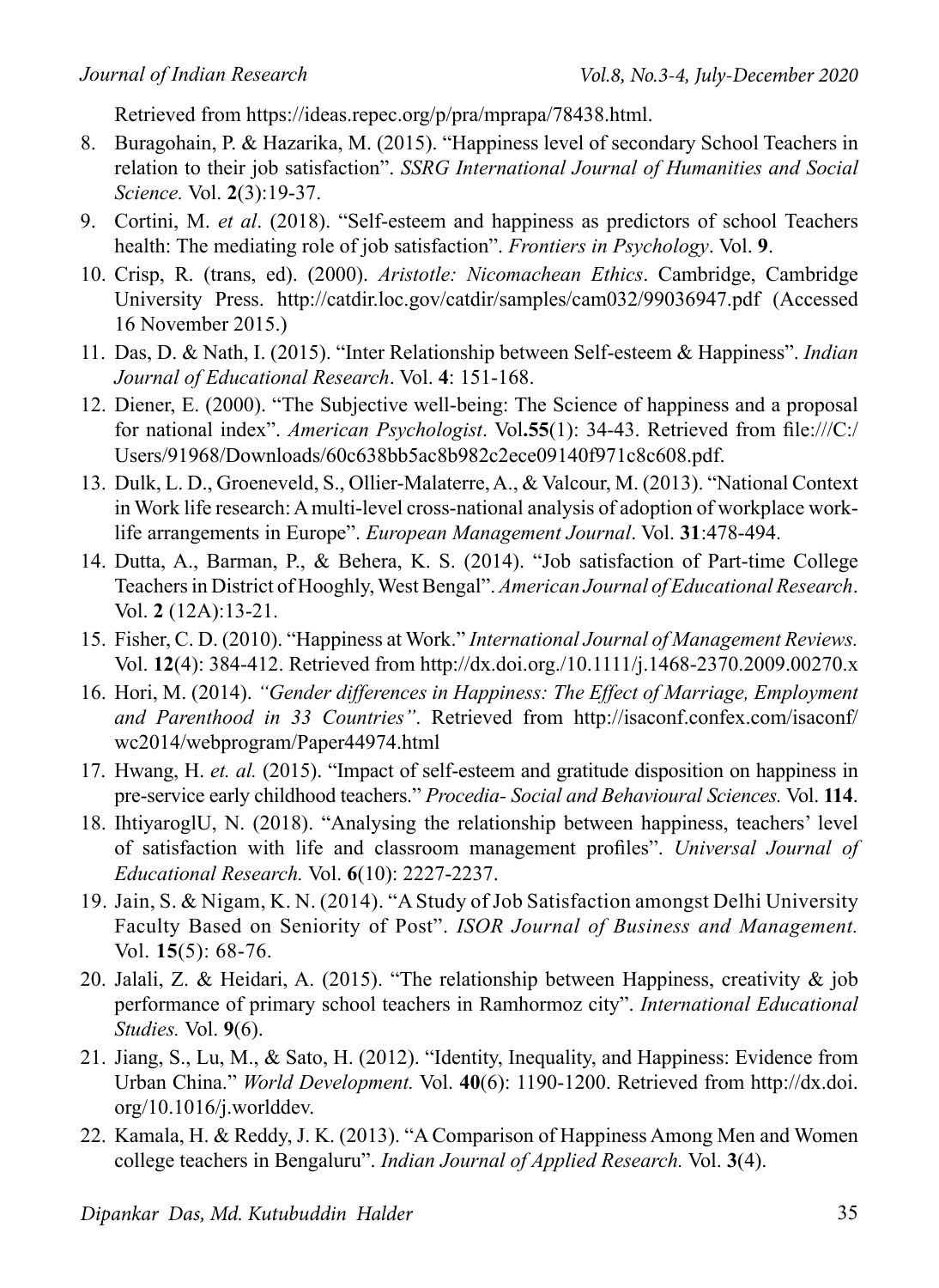Retrieved from https://ideas.repec.org/p/pra/mprapa/78438.html.

- 8. Buragohain, P. & Hazarika, M. (2015). "Happiness level of secondary School Teachers in relation to their job satisfaction". *SSRG International Journal of Humanities and Social Science.* Vol. **2**(3):19-37.
- 9. Cortini, M. *et al*. (2018). "Self-esteem and happiness as predictors of school Teachers health: The mediating role of job satisfaction". *Frontiers in Psychology*. Vol. **9**.
- 10. Crisp, R. (trans, ed). (2000). *Aristotle: Nicomachean Ethics*. Cambridge, Cambridge University Press. http://catdir.loc.gov/catdir/samples/cam032/99036947.pdf (Accessed 16 November 2015.)
- 11. Das, D. & Nath, I. (2015). "Inter Relationship between Self-esteem & Happiness". *Indian Journal of Educational Research*. Vol. **4**: 151-168.
- 12. Diener, E. (2000). "The Subjective well-being: The Science of happiness and a proposal for national index". *American Psychologist*. Vol**.55**(1): 34-43. Retrieved from file:///C:/ Users/91968/Downloads/60c638bb5ac8b982c2ece09140f971c8c608.pdf.
- 13. Dulk, L. D., Groeneveld, S., Ollier-Malaterre, A., & Valcour, M. (2013). "National Context in Work life research: A multi-level cross-national analysis of adoption of workplace worklife arrangements in Europe". *European Management Journal*. Vol. **31**:478-494.
- 14. Dutta, A., Barman, P., & Behera, K. S. (2014). "Job satisfaction of Part-time College Teachers in District of Hooghly, West Bengal". *American Journal of Educational Research*. Vol. **2** (12A):13-21.
- 15. Fisher, C. D. (2010). "Happiness at Work." *International Journal of Management Reviews.* Vol. **12**(4): 384-412. Retrieved from http://dx.doi.org./10.1111/j.1468-2370.2009.00270.x
- 16. Hori, M. (2014). *"Gender differences in Happiness: The Effect of Marriage, Employment and Parenthood in 33 Countries"*. Retrieved from http://isaconf.confex.com/isaconf/ wc2014/webprogram/Paper44974.html
- 17. Hwang, H. *et. al.* (2015). "Impact of self-esteem and gratitude disposition on happiness in pre-service early childhood teachers." *Procedia- Social and Behavioural Sciences.* Vol. **114**.
- 18. IhtiyaroglU, N. (2018). "Analysing the relationship between happiness, teachers' level of satisfaction with life and classroom management profiles". *Universal Journal of Educational Research.* Vol. **6**(10): 2227-2237.
- 19. Jain, S. & Nigam, K. N. (2014). "A Study of Job Satisfaction amongst Delhi University Faculty Based on Seniority of Post". *ISOR Journal of Business and Management.*  Vol. **15**(5): 68-76.
- 20. Jalali, Z. & Heidari, A. (2015). "The relationship between Happiness, creativity & job performance of primary school teachers in Ramhormoz city". *International Educational Studies.* Vol. **9**(6).
- 21. Jiang, S., Lu, M., & Sato, H. (2012). "Identity, Inequality, and Happiness: Evidence from Urban China." *World Development.* Vol. **40**(6): 1190-1200. Retrieved from http://dx.doi. org/10.1016/j.worlddev.
- 22. Kamala, H. & Reddy, J. K. (2013). "A Comparison of Happiness Among Men and Women college teachers in Bengaluru". *Indian Journal of Applied Research.* Vol. **3**(4).